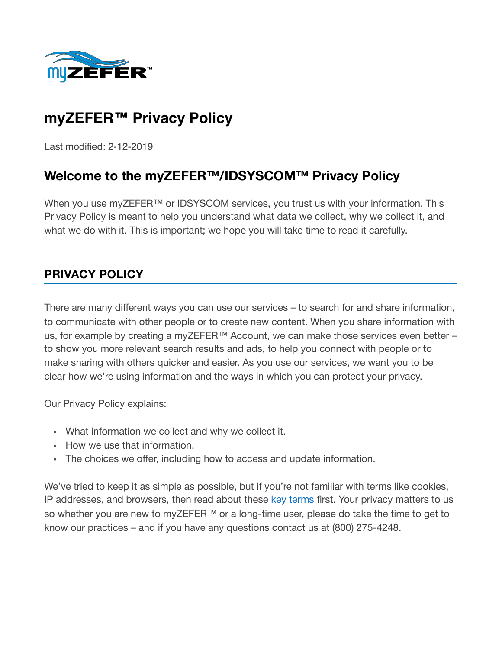

# **myZEFER™ Privacy Policy**

Last modified: 2-12-2019

# **Welcome to the myZEFER™/IDSYSCOM™ Privacy Policy**

When you use myZEFER<sup>™</sup> or IDSYSCOM services, you trust us with your information. This Privacy Policy is meant to help you understand what data we collect, why we collect it, and what we do with it. This is important; we hope you will take time to read it carefully.

### **PRIVACY POLICY**

There are many different ways you can use our services – to search for and share information, to communicate with other people or to create new content. When you share information with us, for example by creating a myZEFER™ Account, we can make those services even better – to show you more relevant search results and ads, to help you connect with people or to make sharing with others quicker and easier. As you use our services, we want you to be clear how we're using information and the ways in which you can protect your privacy.

Our Privacy Policy explains:

- What information we collect and why we collect it.
- How we use that information.
- The choices we offer, including how to access and update information.

We've tried to keep it as simple as possible, but if you're not familiar with terms like cookies, IP addresses, and browsers, then read about these [key terms](https://www.myzefer.com/key-terms/) first. Your privacy matters to us so whether you are new to myZEFER™ or a long-time user, please do take the time to get to know our practices – and if you have any questions contact us at (800) 275-4248.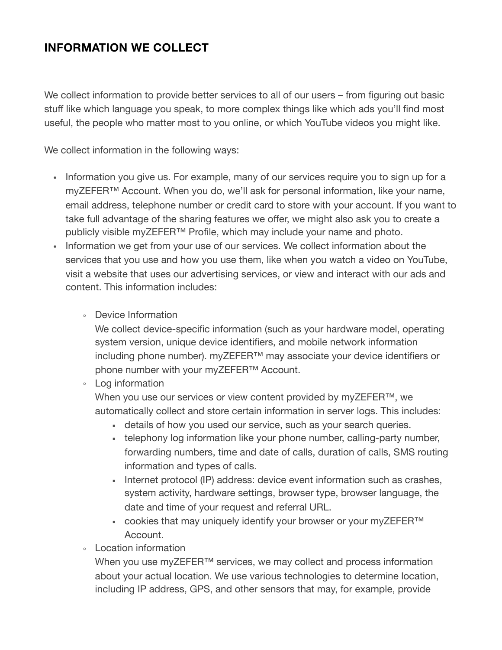We collect information to provide better services to all of our users – from figuring out basic stuff like which language you speak, to more complex things like which ads you'll find most useful, the people who matter most to you online, or which YouTube videos you might like.

We collect information in the following ways:

- Information you give us. For example, many of our services require you to sign up for a myZEFER™ Account. When you do, we'll ask for personal information, like your name, email address, telephone number or credit card to store with your account. If you want to take full advantage of the sharing features we offer, we might also ask you to create a publicly visible myZEFER<sup>™</sup> Profile, which may include your name and photo.
- Information we get from your use of our services. We collect information about the services that you use and how you use them, like when you watch a video on YouTube, visit a website that uses our advertising services, or view and interact with our ads and content. This information includes:
	- Device Information

We collect device-specific information (such as your hardware model, operating system version, unique device identifiers, and mobile network information including phone number). myZEFER™ may associate your device identifiers or phone number with your myZEFER™ Account.

◦ Log information

When you use our services or view content provided by myZEFER™, we automatically collect and store certain information in server logs. This includes:

- **EXECT** details of how you used our service, such as your search queries.
- telephony log information like your phone number, calling-party number, forwarding numbers, time and date of calls, duration of calls, SMS routing information and types of calls.
- **EXECT** Internet protocol (IP) address: device event information such as crashes, system activity, hardware settings, browser type, browser language, the date and time of your request and referral URL.
- cookies that may uniquely identify your browser or your myZEFER™ Account.
- Location information

When you use myZEFER™ services, we may collect and process information about your actual location. We use various technologies to determine location, including IP address, GPS, and other sensors that may, for example, provide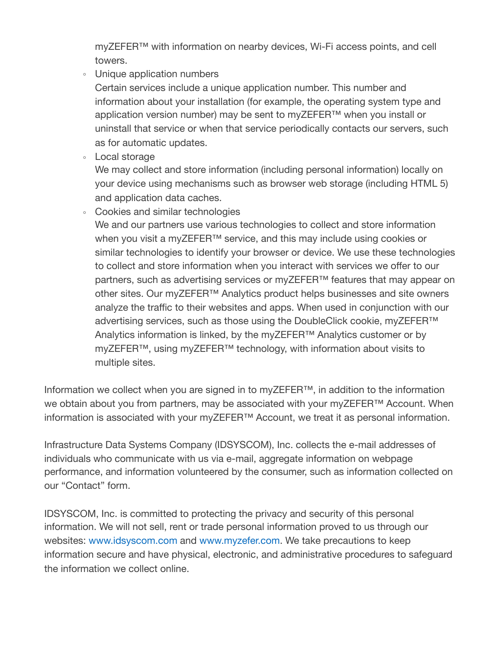myZEFER™ with information on nearby devices, Wi-Fi access points, and cell towers.

◦ Unique application numbers

Certain services include a unique application number. This number and information about your installation (for example, the operating system type and application version number) may be sent to myZEFER™ when you install or uninstall that service or when that service periodically contacts our servers, such as for automatic updates.

◦ Local storage

We may collect and store information (including personal information) locally on your device using mechanisms such as browser web storage (including HTML 5) and application data caches.

◦ Cookies and similar technologies

We and our partners use various technologies to collect and store information when you visit a myZEFER™ service, and this may include using cookies or similar technologies to identify your browser or device. We use these technologies to collect and store information when you interact with services we offer to our partners, such as advertising services or myZEFER<sup>™</sup> features that may appear on other sites. Our myZEFER<sup>™</sup> Analytics product helps businesses and site owners analyze the traffic to their websites and apps. When used in conjunction with our advertising services, such as those using the DoubleClick cookie, myZEFER<sup>™</sup> Analytics information is linked, by the myZEFER™ Analytics customer or by myZEFER™, using myZEFER™ technology, with information about visits to multiple sites.

Information we collect when you are signed in to myZEFER™, in addition to the information we obtain about you from partners, may be associated with your myZEFER™ Account. When information is associated with your myZEFER™ Account, we treat it as personal information.

Infrastructure Data Systems Company (IDSYSCOM), Inc. collects the e-mail addresses of individuals who communicate with us via e-mail, aggregate information on webpage performance, and information volunteered by the consumer, such as information collected on our "Contact" form.

IDSYSCOM, Inc. is committed to protecting the privacy and security of this personal information. We will not sell, rent or trade personal information proved to us through our websites: [www.idsyscom.com](http://www.idsyscom.com/) and [www.myzefer.com.](https://www.myzefer.com/) We take precautions to keep information secure and have physical, electronic, and administrative procedures to safeguard the information we collect online.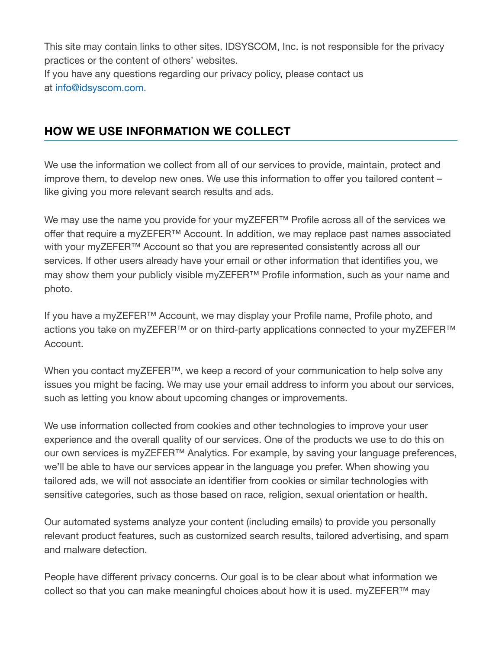This site may contain links to other sites. IDSYSCOM, Inc. is not responsible for the privacy practices or the content of others' websites. If you have any questions regarding our privacy policy, please contact us at [info@idsyscom.com](mailto:Info@idsyscom.com).

## **HOW WE USE INFORMATION WE COLLECT**

We use the information we collect from all of our services to provide, maintain, protect and improve them, to develop new ones. We use this information to offer you tailored content – like giving you more relevant search results and ads.

We may use the name you provide for your myZEFER<sup>™</sup> Profile across all of the services we offer that require a myZEFER™ Account. In addition, we may replace past names associated with your myZEFER™ Account so that you are represented consistently across all our services. If other users already have your email or other information that identifies you, we may show them your publicly visible myZEFER™ Profile information, such as your name and photo.

If you have a myZEFER™ Account, we may display your Profile name, Profile photo, and actions you take on myZEFER™ or on third-party applications connected to your myZEFER™ Account.

When you contact myZEFER™, we keep a record of your communication to help solve any issues you might be facing. We may use your email address to inform you about our services, such as letting you know about upcoming changes or improvements.

We use information collected from cookies and other technologies to improve your user experience and the overall quality of our services. One of the products we use to do this on our own services is myZEFER™ Analytics. For example, by saving your language preferences, we'll be able to have our services appear in the language you prefer. When showing you tailored ads, we will not associate an identifier from cookies or similar technologies with sensitive categories, such as those based on race, religion, sexual orientation or health.

Our automated systems analyze your content (including emails) to provide you personally relevant product features, such as customized search results, tailored advertising, and spam and malware detection.

People have different privacy concerns. Our goal is to be clear about what information we collect so that you can make meaningful choices about how it is used. myZEFER™ may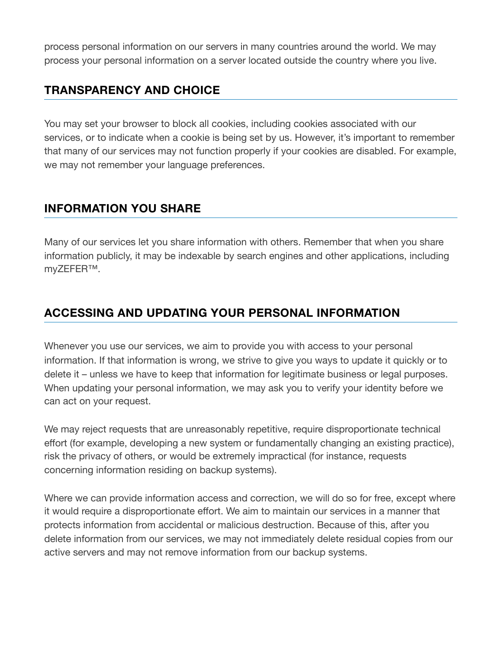process personal information on our servers in many countries around the world. We may process your personal information on a server located outside the country where you live.

### **TRANSPARENCY AND CHOICE**

You may set your browser to block all cookies, including cookies associated with our services, or to indicate when a cookie is being set by us. However, it's important to remember that many of our services may not function properly if your cookies are disabled. For example, we may not remember your language preferences.

### **INFORMATION YOU SHARE**

Many of our services let you share information with others. Remember that when you share information publicly, it may be indexable by search engines and other applications, including myZEFER™.

# **ACCESSING AND UPDATING YOUR PERSONAL INFORMATION**

Whenever you use our services, we aim to provide you with access to your personal information. If that information is wrong, we strive to give you ways to update it quickly or to delete it – unless we have to keep that information for legitimate business or legal purposes. When updating your personal information, we may ask you to verify your identity before we can act on your request.

We may reject requests that are unreasonably repetitive, require disproportionate technical effort (for example, developing a new system or fundamentally changing an existing practice), risk the privacy of others, or would be extremely impractical (for instance, requests concerning information residing on backup systems).

Where we can provide information access and correction, we will do so for free, except where it would require a disproportionate effort. We aim to maintain our services in a manner that protects information from accidental or malicious destruction. Because of this, after you delete information from our services, we may not immediately delete residual copies from our active servers and may not remove information from our backup systems.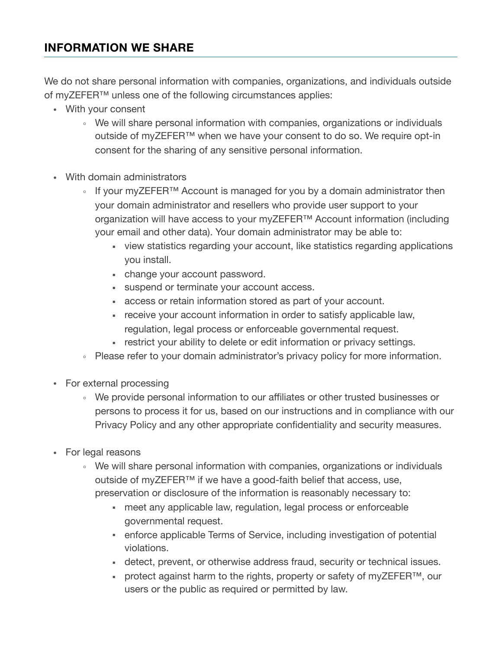#### **INFORMATION WE SHARE**

We do not share personal information with companies, organizations, and individuals outside of myZEFER<sup>™</sup> unless one of the following circumstances applies:

- With your consent
	- We will share personal information with companies, organizations or individuals outside of myZEFER™ when we have your consent to do so. We require opt-in consent for the sharing of any sensitive personal information.
- With domain administrators
	- If your myZEFER™ Account is managed for you by a domain administrator then your domain administrator and resellers who provide user support to your organization will have access to your myZEFER<sup>™</sup> Account information (including your email and other data). Your domain administrator may be able to:
		- view statistics regarding your account, like statistics regarding applications you install.
		- change your account password.
		- **Example 1** suspend or terminate your account access.
		- **access or retain information stored as part of your account.**
		- **EXECT** receive your account information in order to satisfy applicable law, regulation, legal process or enforceable governmental request.
		- **EXECT:** restrict your ability to delete or edit information or privacy settings.
	- Please refer to your domain administrator's privacy policy for more information.
- For external processing
	- We provide personal information to our affiliates or other trusted businesses or persons to process it for us, based on our instructions and in compliance with our Privacy Policy and any other appropriate confidentiality and security measures.
- For legal reasons
	- We will share personal information with companies, organizations or individuals outside of myZEFER™ if we have a good-faith belief that access, use, preservation or disclosure of the information is reasonably necessary to:
		- meet any applicable law, regulation, legal process or enforceable governmental request.
		- **enforce applicable Terms of Service, including investigation of potential** violations.
		- **EXEDER** detect, prevent, or otherwise address fraud, security or technical issues.
		- protect against harm to the rights, property or safety of myZEFER<sup>™</sup>, our users or the public as required or permitted by law.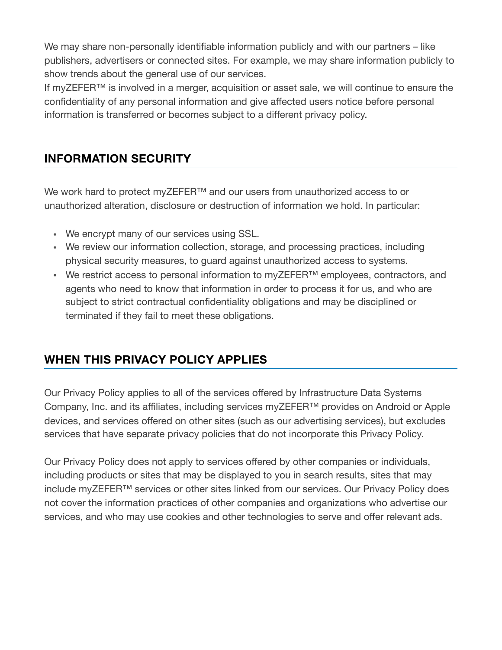We may share non-personally identifiable information publicly and with our partners – like publishers, advertisers or connected sites. For example, we may share information publicly to show trends about the general use of our services.

If myZEFER™ is involved in a merger, acquisition or asset sale, we will continue to ensure the confidentiality of any personal information and give affected users notice before personal information is transferred or becomes subject to a different privacy policy.

# **INFORMATION SECURITY**

We work hard to protect myZEFER™ and our users from unauthorized access to or unauthorized alteration, disclosure or destruction of information we hold. In particular:

- We encrypt many of our services using SSL.
- We review our information collection, storage, and processing practices, including physical security measures, to guard against unauthorized access to systems.
- We restrict access to personal information to myZEFER™ employees, contractors, and agents who need to know that information in order to process it for us, and who are subject to strict contractual confidentiality obligations and may be disciplined or terminated if they fail to meet these obligations.

# **WHEN THIS PRIVACY POLICY APPLIES**

Our Privacy Policy applies to all of the services offered by Infrastructure Data Systems Company, Inc. and its affiliates, including services myZEFER™ provides on Android or Apple devices, and services offered on other sites (such as our advertising services), but excludes services that have separate privacy policies that do not incorporate this Privacy Policy.

Our Privacy Policy does not apply to services offered by other companies or individuals, including products or sites that may be displayed to you in search results, sites that may include myZEFER™ services or other sites linked from our services. Our Privacy Policy does not cover the information practices of other companies and organizations who advertise our services, and who may use cookies and other technologies to serve and offer relevant ads.